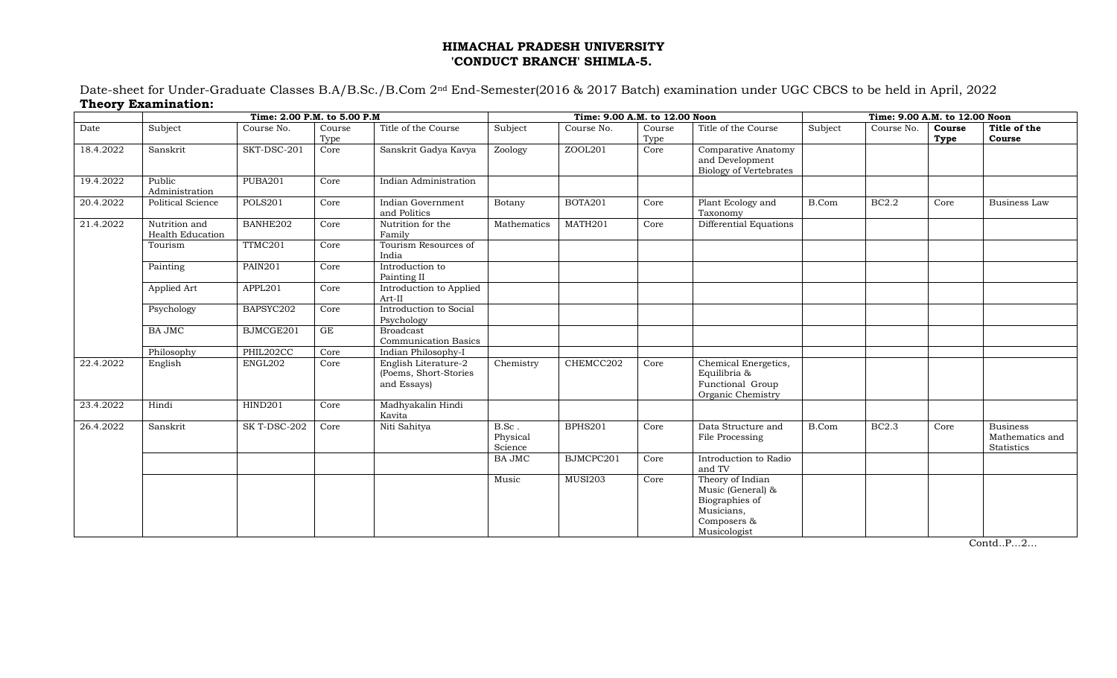## **HIMACHAL PRADESH UNIVERSITY 'CONDUCT BRANCH' SHIMLA-5.**

Date-sheet for Under-Graduate Classes B.A/B.Sc./B.Com 2nd End-Semester(2016 & 2017 Batch) examination under UGC CBCS to be held in April, 2022 **Theory Examination:**

|           |                                   | Time: 2.00 P.M. to 5.00 P.M | Time: 9.00 A.M. to 12.00 Noon |                                                              |                                                               |                | Time: 9.00 A.M. to 12.00 Noon |                                                                                                      |         |              |                |                                                  |
|-----------|-----------------------------------|-----------------------------|-------------------------------|--------------------------------------------------------------|---------------------------------------------------------------|----------------|-------------------------------|------------------------------------------------------------------------------------------------------|---------|--------------|----------------|--------------------------------------------------|
| Date      | Subject                           | Course No.                  | Course<br>Type                | Title of the Course                                          | Subject                                                       | Course No.     | Course<br>Type                | Title of the Course                                                                                  | Subject | Course No.   | Course<br>Type | Title of the<br>Course                           |
| 18.4.2022 | Sanskrit                          | SKT-DSC-201                 | Core                          | Sanskrit Gadya Kavya                                         | Zoology                                                       | ZOOL201        | Core                          | Comparative Anatomy<br>and Development<br><b>Biology of Vertebrates</b>                              |         |              |                |                                                  |
| 19.4.2022 | Public<br>Administration          | PUBA201                     | Core                          | Indian Administration                                        |                                                               |                |                               |                                                                                                      |         |              |                |                                                  |
| 20.4.2022 | <b>Political Science</b>          | <b>POLS201</b>              | Core                          | Indian Government<br>and Politics                            | <b>Botany</b>                                                 | BOTA201        | Core                          | Plant Ecology and<br>Taxonomy                                                                        | B.Com   | <b>BC2.2</b> | Core           | Business Law                                     |
| 21.4.2022 | Nutrition and<br>Health Education | BANHE202                    | Core                          | Nutrition for the<br>Family                                  | Mathematics                                                   | MATH201        | Core                          | Differential Equations                                                                               |         |              |                |                                                  |
|           | Tourism                           | TTMC201                     | Core                          | Tourism Resources of<br>India                                |                                                               |                |                               |                                                                                                      |         |              |                |                                                  |
|           | Painting                          | PAIN201                     | Core                          | Introduction to<br>Painting II                               |                                                               |                |                               |                                                                                                      |         |              |                |                                                  |
|           | Applied Art                       | APPL201                     | Core                          | Introduction to Applied<br>Art-II                            |                                                               |                |                               |                                                                                                      |         |              |                |                                                  |
|           | Psychology                        | BAPSYC202                   | Core                          | Introduction to Social<br>Psychology                         |                                                               |                |                               |                                                                                                      |         |              |                |                                                  |
|           | <b>BA JMC</b>                     | BJMCGE201                   | GE                            | <b>Broadcast</b><br><b>Communication Basics</b>              |                                                               |                |                               |                                                                                                      |         |              |                |                                                  |
|           | Philosophy                        | PHIL202CC                   | Core                          | Indian Philosophy-I                                          |                                                               |                |                               |                                                                                                      |         |              |                |                                                  |
| 22.4.2022 | English                           | ENGL202                     | Core                          | English Literature-2<br>(Poems, Short-Stories<br>and Essays) | Chemistry                                                     | CHEMCC202      | Core                          | Chemical Energetics,<br>Equilibria &<br>Functional Group<br>Organic Chemistry                        |         |              |                |                                                  |
| 23.4.2022 | Hindi                             | HIND201                     | Core                          | Madhyakalin Hindi<br>Kavita                                  |                                                               |                |                               |                                                                                                      |         |              |                |                                                  |
| 26.4.2022 | Sanskrit                          | SK T-DSC-202                | Core                          | Niti Sahitya                                                 | $\operatorname{B}.\operatorname{Sc}$ .<br>Physical<br>Science | <b>BPHS201</b> | Core                          | Data Structure and<br>File Processing                                                                | B.Com   | <b>BC2.3</b> | Core           | <b>Business</b><br>Mathematics and<br>Statistics |
|           |                                   |                             |                               |                                                              | <b>BA JMC</b>                                                 | BJMCPC201      | Core                          | Introduction to Radio<br>and TV                                                                      |         |              |                |                                                  |
|           |                                   |                             |                               |                                                              | Music                                                         | <b>MUSI203</b> | Core                          | Theory of Indian<br>Music (General) &<br>Biographies of<br>Musicians,<br>Composers &<br>Musicologist |         |              |                |                                                  |

Contd..P…2…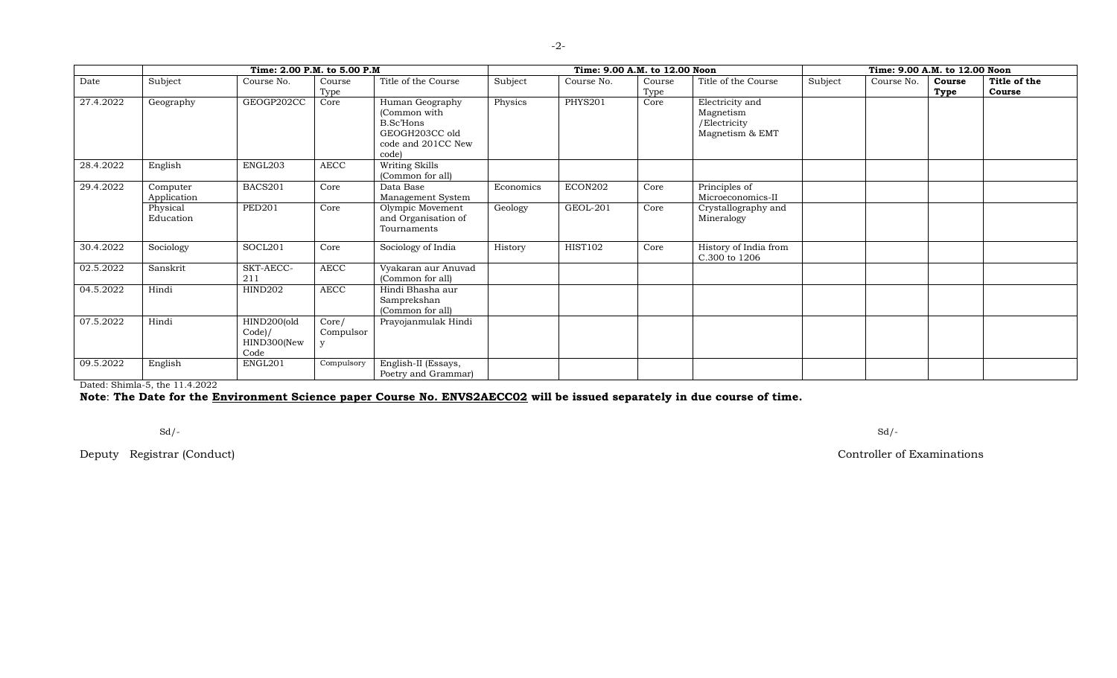|           | Time: 2.00 P.M. to 5.00 P.M |                                              |                    |                                                                                               | Time: 9.00 A.M. to 12.00 Noon |                | Time: 9.00 A.M. to 12.00 Noon |                                                                 |         |            |                |                        |
|-----------|-----------------------------|----------------------------------------------|--------------------|-----------------------------------------------------------------------------------------------|-------------------------------|----------------|-------------------------------|-----------------------------------------------------------------|---------|------------|----------------|------------------------|
| Date      | Subject                     | Course No.                                   | Course<br>Type     | Title of the Course                                                                           | Subject                       | Course No.     | Course<br>Type                | Title of the Course                                             | Subject | Course No. | Course<br>Type | Title of the<br>Course |
| 27.4.2022 | Geography                   | GEOGP202CC                                   | Core               | Human Geography<br>(Common with<br>B.Sc'Hons<br>GEOGH203CC old<br>code and 201CC New<br>code) | Physics                       | <b>PHYS201</b> | Core                          | Electricity and<br>Magnetism<br>/Electricity<br>Magnetism & EMT |         |            |                |                        |
| 28.4.2022 | English                     | ENGL203                                      | AECC               | Writing Skills<br>(Common for all)                                                            |                               |                |                               |                                                                 |         |            |                |                        |
| 29.4.2022 | Computer<br>Application     | BACS201                                      | Core               | Data Base<br>Management System                                                                | Economics                     | ECON202        | Core                          | Principles of<br>Microeconomics-II                              |         |            |                |                        |
|           | Physical<br>Education       | <b>PED201</b>                                | Core               | Olympic Movement<br>and Organisation of<br>Tournaments                                        | Geology                       | GEOL-201       | Core                          | Crystallography and<br>Mineralogy                               |         |            |                |                        |
| 30.4.2022 | Sociology                   | SOCL201                                      | Core               | Sociology of India                                                                            | History                       | <b>HIST102</b> | Core                          | History of India from<br>C.300 to 1206                          |         |            |                |                        |
| 02.5.2022 | Sanskrit                    | SKT-AECC-<br>211                             | <b>AECC</b>        | Vyakaran aur Anuvad<br>(Common for all)                                                       |                               |                |                               |                                                                 |         |            |                |                        |
| 04.5.2022 | Hindi                       | <b>HIND202</b>                               | <b>AECC</b>        | Hindi Bhasha aur<br>Samprekshan<br>(Common for all)                                           |                               |                |                               |                                                                 |         |            |                |                        |
| 07.5.2022 | Hindi                       | HIND200(old<br>Code)/<br>HIND300(New<br>Code | Core/<br>Compulsor | Prayojanmulak Hindi                                                                           |                               |                |                               |                                                                 |         |            |                |                        |
| 09.5.2022 | English                     | ENGL201                                      | Compulsory         | English-II (Essays,<br>Poetry and Grammar)                                                    |                               |                |                               |                                                                 |         |            |                |                        |

Dated: Shimla-5, the 11.4.2022

**Note**: **The Date for the Environment Science paper Course No. ENVS2AECC02 will be issued separately in due course of time.**

Sd/- Sd/-

Deputy Registrar (Conduct) Controller of Examinations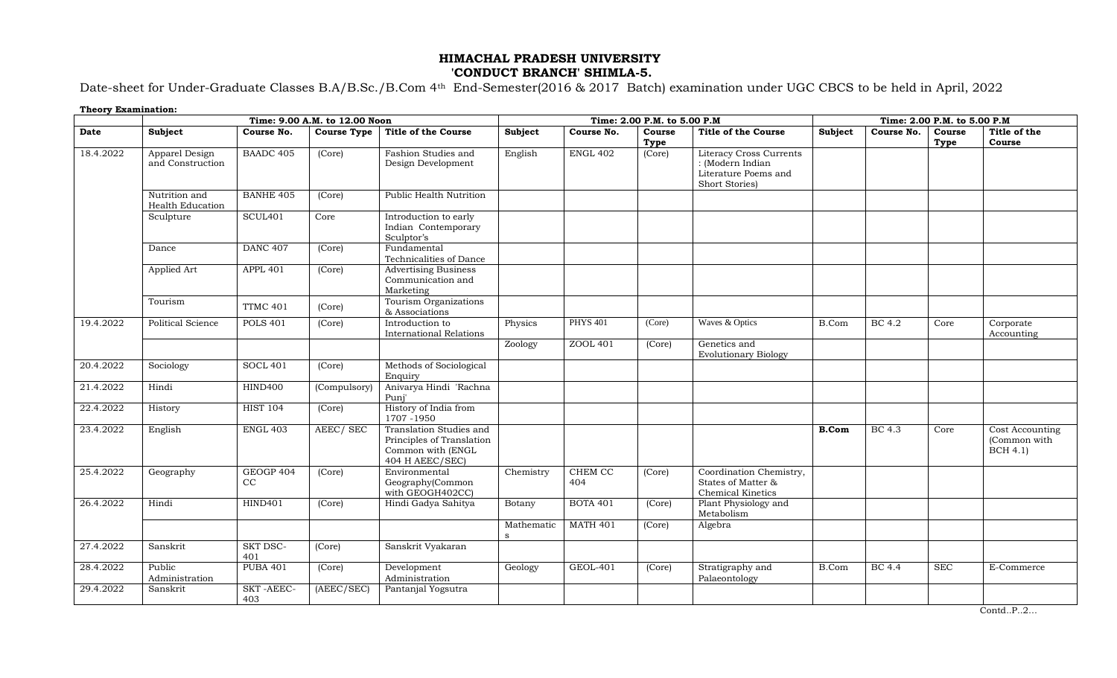## **HIMACHAL PRADESH UNIVERSITY 'CONDUCT BRANCH' SHIMLA-5.**

Date-sheet for Under-Graduate Classes B.A/B.Sc./B.Com 4th End-Semester(2016 & 2017 Batch) examination under UGC CBCS to be held in April, 2022

| <b>Theory Examination:</b> |                                    |                         |                               |                                                                                              |                            |                 |                              |                                                                                       |                             |               |                |                                                    |  |
|----------------------------|------------------------------------|-------------------------|-------------------------------|----------------------------------------------------------------------------------------------|----------------------------|-----------------|------------------------------|---------------------------------------------------------------------------------------|-----------------------------|---------------|----------------|----------------------------------------------------|--|
|                            |                                    |                         | Time: 9.00 A.M. to 12.00 Noon |                                                                                              |                            |                 | Time: 2.00 P.M. to 5.00 P.M. |                                                                                       | Time: 2.00 P.M. to 5.00 P.M |               |                |                                                    |  |
| Date                       | Subject                            | Course No.              | <b>Course Type</b>            | <b>Title of the Course</b>                                                                   | Subject                    | Course No.      | Course<br>Type               | <b>Title of the Course</b>                                                            | <b>Subject</b>              | Course No.    | Course<br>Type | Title of the<br>Course                             |  |
| 18.4.2022                  | Apparel Design<br>and Construction | <b>BAADC 405</b>        | (Core)                        | Fashion Studies and<br>Design Development                                                    | English                    | <b>ENGL 402</b> | (Core)                       | Literacy Cross Currents<br>: (Modern Indian<br>Literature Poems and<br>Short Stories) |                             |               |                |                                                    |  |
|                            | Nutrition and<br>Health Education  | <b>BANHE 405</b>        | (Core)                        | <b>Public Health Nutrition</b>                                                               |                            |                 |                              |                                                                                       |                             |               |                |                                                    |  |
|                            | Sculpture                          | SCUL <sub>401</sub>     | Core                          | Introduction to early<br>Indian Contemporary<br>Sculptor's                                   |                            |                 |                              |                                                                                       |                             |               |                |                                                    |  |
|                            | Dance                              | <b>DANC 407</b>         | (Core)                        | Fundamental<br>Technicalities of Dance                                                       |                            |                 |                              |                                                                                       |                             |               |                |                                                    |  |
|                            | Applied Art                        | APPL 401                | (Core)                        | <b>Advertising Business</b><br>Communication and<br>Marketing                                |                            |                 |                              |                                                                                       |                             |               |                |                                                    |  |
|                            | Tourism                            | TTMC 401                | (Core)                        | Tourism Organizations<br>& Associations                                                      |                            |                 |                              |                                                                                       |                             |               |                |                                                    |  |
| 19.4.2022                  | Political Science                  | <b>POLS 401</b>         | (Core)                        | Introduction to<br><b>International Relations</b>                                            | Physics                    | <b>PHYS 401</b> | (Core)                       | Waves & Optics                                                                        | B.Com                       | BC 4.2        | Core           | Corporate<br>Accounting                            |  |
|                            |                                    |                         |                               |                                                                                              | Zoology                    | ZOOL 401        | (Core)                       | Genetics and<br><b>Evolutionary Biology</b>                                           |                             |               |                |                                                    |  |
| 20.4.2022                  | Sociology                          | <b>SOCL 401</b>         | (Core)                        | Methods of Sociological<br>Enquiry                                                           |                            |                 |                              |                                                                                       |                             |               |                |                                                    |  |
| 21.4.2022                  | Hindi                              | <b>HIND400</b>          | (Compulsory                   | Anivarya Hindi 'Rachna<br>Puni'                                                              |                            |                 |                              |                                                                                       |                             |               |                |                                                    |  |
| 22.4.2022                  | History                            | <b>HIST 104</b>         | (Core)                        | History of India from<br>1707-1950                                                           |                            |                 |                              |                                                                                       |                             |               |                |                                                    |  |
| 23.4.2022                  | English                            | <b>ENGL 403</b>         | AEEC/SEC                      | Translation Studies and<br>Principles of Translation<br>Common with (ENGL<br>404 H AEEC/SEC) |                            |                 |                              |                                                                                       | <b>B.Com</b>                | BC 4.3        | Core           | Cost Accounting<br>(Common with<br><b>BCH 4.1)</b> |  |
| 25.4.2022                  | Geography                          | GEOGP 404<br>CC         | (Core)                        | Environmental<br>Geography(Common<br>with GEOGH402CC)                                        | Chemistry                  | CHEM CC<br>404  | (Core)                       | Coordination Chemistry,<br>States of Matter &<br><b>Chemical Kinetics</b>             |                             |               |                |                                                    |  |
| 26.4.2022                  | Hindi                              | HIND401                 | (Core)                        | Hindi Gadya Sahitya                                                                          | Botany                     | <b>BOTA 401</b> | (Core)                       | Plant Physiology and<br>Metabolism                                                    |                             |               |                |                                                    |  |
|                            |                                    |                         |                               |                                                                                              | Mathematic<br>$\mathbf{s}$ | <b>MATH 401</b> | (Core)                       | Algebra                                                                               |                             |               |                |                                                    |  |
| 27.4.2022                  | Sanskrit                           | <b>SKT DSC-</b><br>401  | (Core)                        | Sanskrit Vyakaran                                                                            |                            |                 |                              |                                                                                       |                             |               |                |                                                    |  |
| 28.4.2022                  | Public<br>Administration           | <b>PUBA 401</b>         | (Core)                        | Development<br>Administration                                                                | Geology                    | GEOL-401        | (Core)                       | Stratigraphy and<br>Palaeontology                                                     | B.Com                       | <b>BC</b> 4.4 | <b>SEC</b>     | E-Commerce                                         |  |
| 29.4.2022                  | Sanskrit                           | <b>SKT-AEEC-</b><br>403 | (AEEC/SEC)                    | Pantanjal Yogsutra                                                                           |                            |                 |                              |                                                                                       |                             |               |                |                                                    |  |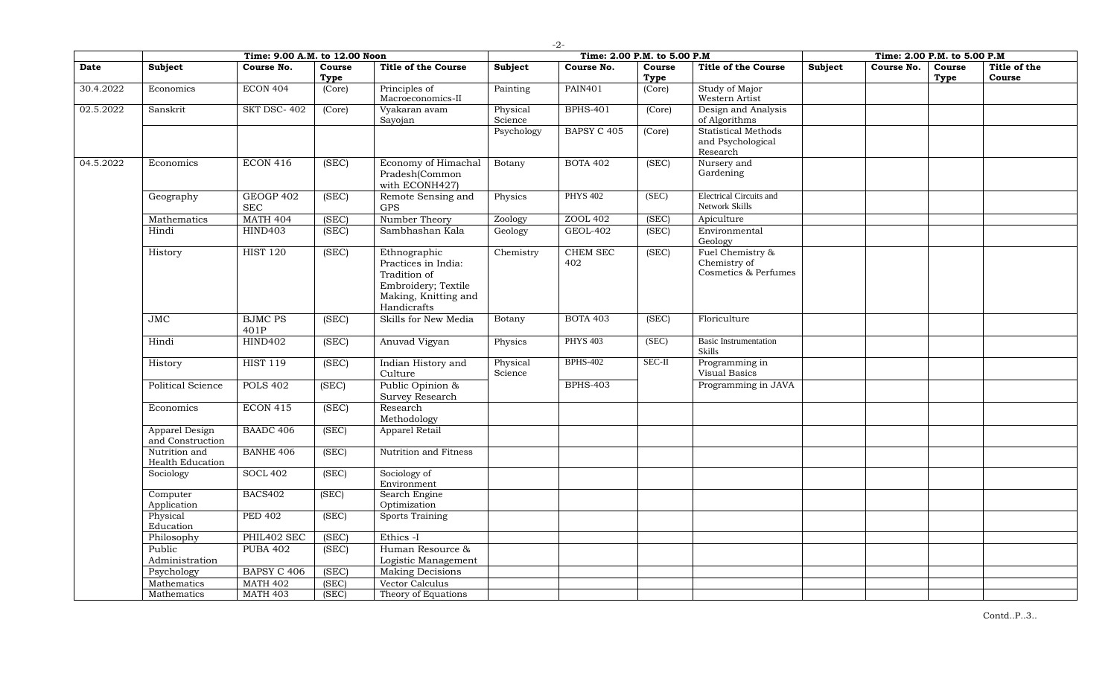|           |                                           | Time: 9.00 A.M. to 12.00 Noon |                |                                                                                                                   |                     | -41<br>Time: 2.00 P.M. to 5.00 P.M |                |                                                             |         | Time: 2.00 P.M. to 5.00 P.M |                |                        |
|-----------|-------------------------------------------|-------------------------------|----------------|-------------------------------------------------------------------------------------------------------------------|---------------------|------------------------------------|----------------|-------------------------------------------------------------|---------|-----------------------------|----------------|------------------------|
| Date      | Subject                                   | Course No.                    | Course<br>Type | <b>Title of the Course</b>                                                                                        | Subject             | Course No.                         | Course<br>Type | <b>Title of the Course</b>                                  | Subject | Course No.                  | Course<br>Type | Title of the<br>Course |
| 30.4.2022 | Economics                                 | <b>ECON 404</b>               | (Core)         | Principles of<br>Macroeconomics-II                                                                                | Painting            | <b>PAIN401</b>                     | (Core)         | Study of Major<br>Western Artist                            |         |                             |                |                        |
| 02.5.2022 | Sanskrit                                  | SKT DSC-402                   | (Core)         | Vyakaran avam<br>Sayojan                                                                                          | Physical<br>Science | <b>BPHS-401</b>                    | (Core)         | Design and Analysis<br>of Algorithms                        |         |                             |                |                        |
|           |                                           |                               |                |                                                                                                                   | Psychology          | <b>BAPSY C 405</b>                 | (Core)         | <b>Statistical Methods</b><br>and Psychological<br>Research |         |                             |                |                        |
| 04.5.2022 | Economics                                 | <b>ECON 416</b>               | (SEC)          | Economy of Himachal<br>Pradesh(Common<br>with ECONH427)                                                           | Botany              | <b>BOTA 402</b>                    | (SEC)          | Nursery and<br>Gardening                                    |         |                             |                |                        |
|           | Geography                                 | GEOGP 402<br>$\rm{SEC}$       | (SEC)          | Remote Sensing and<br>$\mbox{GPS}$                                                                                | Physics             | <b>PHYS 402</b>                    | (SEC)          | <b>Electrical Circuits and</b><br>Network Skills            |         |                             |                |                        |
|           | Mathematics                               | <b>MATH 404</b>               | (SEC)          | Number Theory                                                                                                     | Zoology             | ZOOL 402                           | (SEC)          | Apiculture                                                  |         |                             |                |                        |
|           | Hindi                                     | <b>HIND403</b>                | (SEC)          | Sambhashan Kala                                                                                                   | Geology             | <b>GEOL-402</b>                    | (SEC)          | Environmental<br>Geology                                    |         |                             |                |                        |
|           | History                                   | <b>HIST 120</b>               | (SEC)          | Ethnographic<br>Practices in India:<br>Tradition of<br>Embroidery; Textile<br>Making, Knitting and<br>Handicrafts | Chemistry           | <b>CHEM SEC</b><br>402             | (SEC)          | Fuel Chemistry &<br>Chemistry of<br>Cosmetics & Perfumes    |         |                             |                |                        |
|           | JMC                                       | <b>BJMC PS</b><br>401P        | (SEC)          | Skills for New Media                                                                                              | Botany              | <b>BOTA 403</b>                    | (SEC)          | Floriculture                                                |         |                             |                |                        |
|           | Hindi                                     | <b>HIND402</b>                | (SEC)          | Anuvad Vigyan                                                                                                     | Physics             | <b>PHYS 403</b>                    | (SEC)          | <b>Basic Instrumentation</b><br><b>Skills</b>               |         |                             |                |                        |
|           | History                                   | <b>HIST 119</b>               | (SEC)          | Indian History and<br>Culture                                                                                     | Physical<br>Science | <b>BPHS-402</b>                    | $SEC-II$       | Programming in<br>Visual Basics                             |         |                             |                |                        |
|           | <b>Political Science</b>                  | <b>POLS 402</b>               | (SEC)          | Public Opinion &<br>Survey Research                                                                               |                     | <b>BPHS-403</b>                    |                | Programming in JAVA                                         |         |                             |                |                        |
|           | Economics                                 | <b>ECON 415</b>               | (SEC)          | Research<br>Methodology                                                                                           |                     |                                    |                |                                                             |         |                             |                |                        |
|           | <b>Apparel Design</b><br>and Construction | <b>BAADC 406</b>              | (SEC)          | Apparel Retail                                                                                                    |                     |                                    |                |                                                             |         |                             |                |                        |
|           | Nutrition and<br>Health Education         | <b>BANHE 406</b>              | (SEC)          | Nutrition and Fitness                                                                                             |                     |                                    |                |                                                             |         |                             |                |                        |
|           | Sociology                                 | <b>SOCL 402</b>               | (SEC)          | Sociology of<br>Environment                                                                                       |                     |                                    |                |                                                             |         |                             |                |                        |
|           | Computer<br>Application                   | <b>BACS402</b>                | (SEC)          | Search Engine<br>Optimization                                                                                     |                     |                                    |                |                                                             |         |                             |                |                        |
|           | Physical<br>Education                     | <b>PED 402</b>                | (SEC)          | <b>Sports Training</b>                                                                                            |                     |                                    |                |                                                             |         |                             |                |                        |
|           | Philosophy                                | PHIL402 SEC                   | (SEC)          | Ethics -I                                                                                                         |                     |                                    |                |                                                             |         |                             |                |                        |
|           | Public                                    | <b>PUBA 402</b>               | (SEC)          | Human Resource &                                                                                                  |                     |                                    |                |                                                             |         |                             |                |                        |
|           | Administration                            |                               |                | Logistic Management                                                                                               |                     |                                    |                |                                                             |         |                             |                |                        |
|           | Psychology                                | BAPSY C 406                   | (SEC)          | <b>Making Decisions</b>                                                                                           |                     |                                    |                |                                                             |         |                             |                |                        |
|           | Mathematics                               | <b>MATH 402</b>               | (SEC)          | Vector Calculus                                                                                                   |                     |                                    |                |                                                             |         |                             |                |                        |
|           | Mathematics                               | <b>MATH 403</b>               | (SEC)          | Theory of Equations                                                                                               |                     |                                    |                |                                                             |         |                             |                |                        |

-2-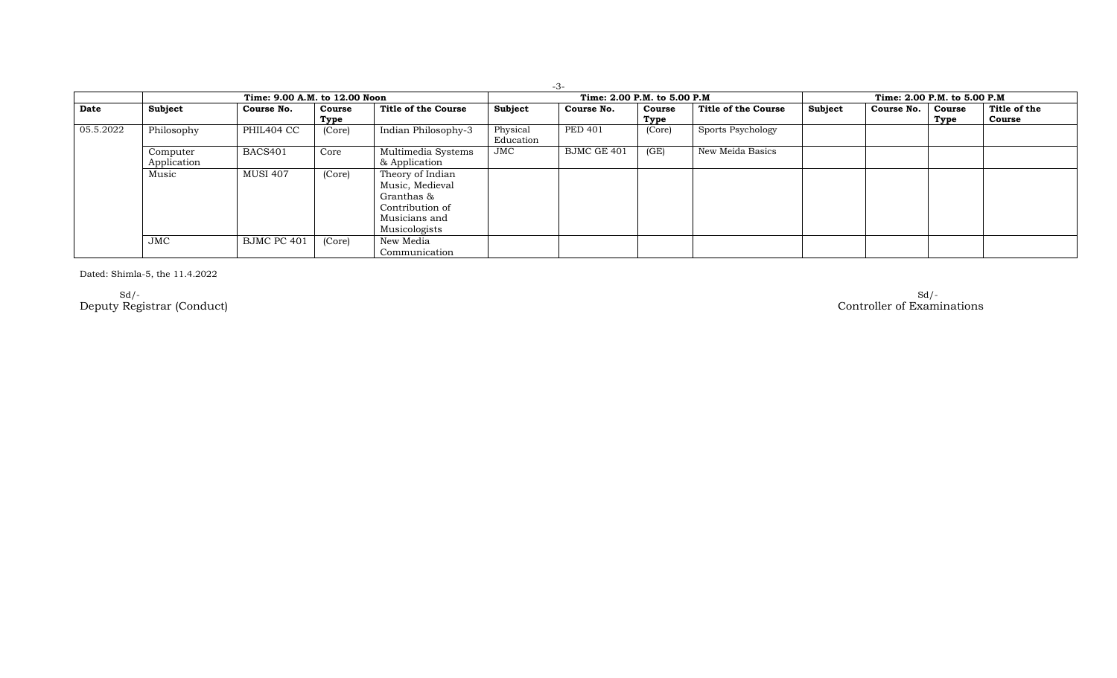|           |                         |                               |                |                                                                                                        |                       | $-3-$                        |                |                              |         |            |                |                        |
|-----------|-------------------------|-------------------------------|----------------|--------------------------------------------------------------------------------------------------------|-----------------------|------------------------------|----------------|------------------------------|---------|------------|----------------|------------------------|
|           |                         | Time: 9.00 A.M. to 12.00 Noon |                |                                                                                                        |                       | Time: 2.00 P.M. to 5.00 P.M. |                | Time: 2.00 P.M. to 5.00 P.M. |         |            |                |                        |
| Date      | Subject                 | Course No.                    | Course<br>Type | Title of the Course                                                                                    | Subject               | Course No.                   | Course<br>Type | Title of the Course          | Subject | Course No. | Course<br>Type | Title of the<br>Course |
| 05.5.2022 | Philosophy              | PHIL404 CC                    | (Core)         | Indian Philosophy-3                                                                                    | Physical<br>Education | <b>PED 401</b>               | (Core)         | Sports Psychology            |         |            |                |                        |
|           | Computer<br>Application | BACS401                       | Core           | Multimedia Systems<br>& Application                                                                    | $_{\rm JMC}$          | BJMC GE 401                  | (GE)           | New Meida Basics             |         |            |                |                        |
|           | Music                   | <b>MUSI 407</b>               | (Core)         | Theory of Indian<br>Music, Medieval<br>Granthas &<br>Contribution of<br>Musicians and<br>Musicologists |                       |                              |                |                              |         |            |                |                        |
|           | JMC                     | BJMC PC 401                   | (Core)         | New Media<br>Communication                                                                             |                       |                              |                |                              |         |            |                |                        |

Dated: Shimla-5, the 11.4.2022

Sd/- Sd/- Deputy Registrar (Conduct) Controller of Examinations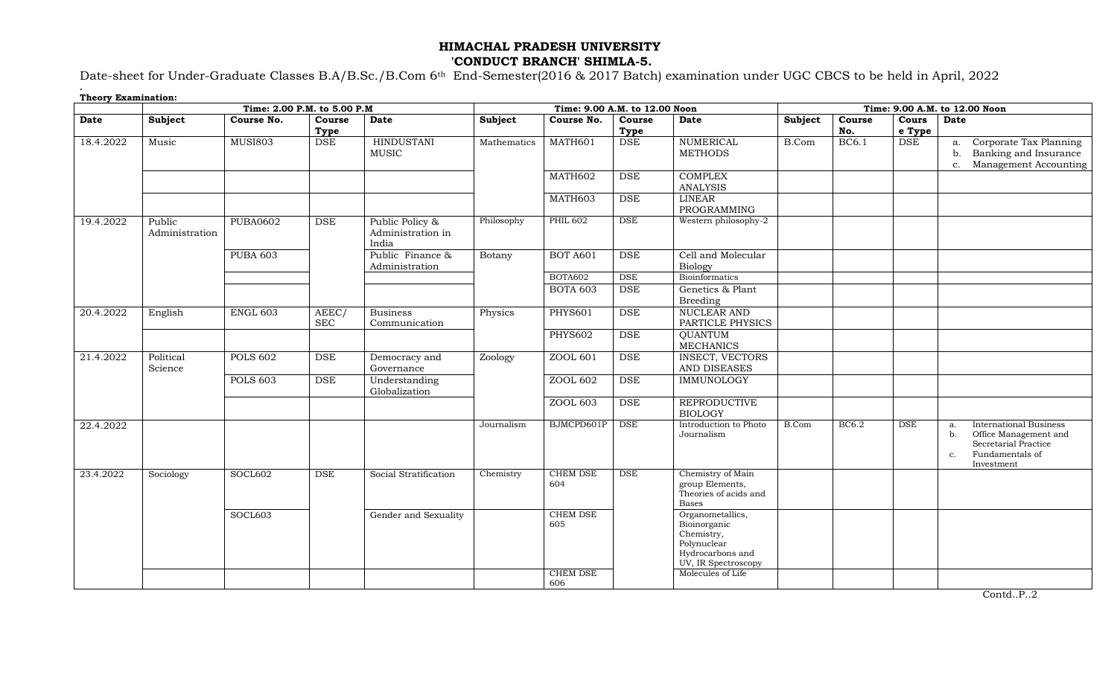## **HIMACHAL PRADESH UNIVERSITY 'CONDUCT BRANCH' SHIMLA-5.**

Date-sheet for Under-Graduate Classes B.A/B.Sc./B.Com 6th End-Semester(2016 & 2017 Batch) examination under UGC CBCS to be held in April, 2022

**.**

| <b>Theory Examination:</b> |                          |                             |                      |                                               |                               |                        |                      |                                                                                                          |         |               |                 |                                                                                                                                   |
|----------------------------|--------------------------|-----------------------------|----------------------|-----------------------------------------------|-------------------------------|------------------------|----------------------|----------------------------------------------------------------------------------------------------------|---------|---------------|-----------------|-----------------------------------------------------------------------------------------------------------------------------------|
|                            |                          | Time: 2.00 P.M. to 5.00 P.M |                      |                                               | Time: 9.00 A.M. to 12.00 Noon |                        |                      | Time: 9.00 A.M. to 12.00 Noon                                                                            |         |               |                 |                                                                                                                                   |
| <b>Date</b>                | Subject                  | Course No.                  | Course<br>Type       | <b>Date</b>                                   | Subject                       | Course No.             | Course<br>Type       | <b>Date</b>                                                                                              | Subject | Course<br>No. | Cours<br>e Type | <b>Date</b>                                                                                                                       |
| 18.4.2022                  | Music                    | <b>MUSI803</b>              | <b>DSE</b>           | <b>HINDUSTANI</b><br><b>MUSIC</b>             | Mathematics                   | MATH601                | <b>DSE</b>           | <b>NUMERICAL</b><br><b>METHODS</b>                                                                       | B.Com   | <b>BC6.1</b>  | <b>DSE</b>      | Corporate Tax Planning<br>a.<br>Banking and Insurance<br>b.<br>Management Accounting<br>c.                                        |
|                            |                          |                             |                      |                                               |                               | MATH602                | <b>DSE</b>           | <b>COMPLEX</b><br><b>ANALYSIS</b>                                                                        |         |               |                 |                                                                                                                                   |
|                            |                          |                             |                      |                                               |                               | MATH603                | <b>DSE</b>           | <b>LINEAR</b><br>PROGRAMMING                                                                             |         |               |                 |                                                                                                                                   |
| 19.4.2022                  | Public<br>Administration | <b>PUBA0602</b>             | $\operatorname{DSE}$ | Public Policy &<br>Administration in<br>India | Philosophy                    | <b>PHIL 602</b>        | <b>DSE</b>           | Western philosophy-2                                                                                     |         |               |                 |                                                                                                                                   |
|                            |                          | <b>PUBA 603</b>             |                      | Public Finance &<br>Administration            | Botany                        | <b>BOT A601</b>        | <b>DSE</b>           | Cell and Molecular<br><b>Biology</b>                                                                     |         |               |                 |                                                                                                                                   |
|                            |                          |                             |                      |                                               |                               | BOTA602                | <b>DSE</b>           | Bioinformatics                                                                                           |         |               |                 |                                                                                                                                   |
|                            |                          |                             |                      |                                               |                               | <b>BOTA 603</b>        | <b>DSE</b>           | Genetics & Plant<br><b>Breeding</b>                                                                      |         |               |                 |                                                                                                                                   |
| 20.4.2022                  | English                  | <b>ENGL 603</b>             | AEEC/<br><b>SEC</b>  | <b>Business</b><br>Communication              | Physics                       | <b>PHYS601</b>         | <b>DSE</b>           | <b>NUCLEAR AND</b><br>PARTICLE PHYSICS                                                                   |         |               |                 |                                                                                                                                   |
|                            |                          |                             |                      |                                               |                               | <b>PHYS602</b>         | $\operatorname{DSE}$ | <b>QUANTUM</b><br><b>MECHANICS</b>                                                                       |         |               |                 |                                                                                                                                   |
| 21.4.2022                  | Political<br>Science     | <b>POLS 602</b>             | <b>DSE</b>           | Democracy and<br>Governance                   | Zoology                       | ZOOL 601               | <b>DSE</b>           | <b>INSECT, VECTORS</b><br>AND DISEASES                                                                   |         |               |                 |                                                                                                                                   |
|                            |                          | <b>POLS 603</b>             | <b>DSE</b>           | Understanding<br>Globalization                |                               | ZOOL 602               | <b>DSE</b>           | <b>IMMUNOLOGY</b>                                                                                        |         |               |                 |                                                                                                                                   |
|                            |                          |                             |                      |                                               |                               | ZOOL 603               | <b>DSE</b>           | <b>REPRODUCTIVE</b><br><b>BIOLOGY</b>                                                                    |         |               |                 |                                                                                                                                   |
| 22.4.2022                  |                          |                             |                      |                                               | Journalism                    | BJMCPD601P             | <b>DSE</b>           | Introduction to Photo<br>Journalism                                                                      | B.Com   | BC6.2         | <b>DSE</b>      | <b>International Business</b><br>a.<br>Office Management and<br>b.<br>Secretarial Practice<br>Fundamentals of<br>c.<br>Investment |
| 23.4.2022                  | Sociology                | SOCL602                     | $\operatorname{DSE}$ | Social Stratification                         | Chemistry                     | CHEM DSE<br>604        | <b>DSE</b>           | Chemistry of Main<br>group Elements,<br>Theories of acids and<br><b>Bases</b>                            |         |               |                 |                                                                                                                                   |
|                            |                          | SOCL603                     |                      | Gender and Sexuality                          |                               | <b>CHEM DSE</b><br>605 |                      | Organometallics,<br>Bioinorganic<br>Chemistry,<br>Polynuclear<br>Hydrocarbons and<br>UV, IR Spectroscopy |         |               |                 |                                                                                                                                   |
|                            |                          |                             |                      |                                               |                               | <b>CHEM DSE</b><br>606 |                      | Molecules of Life                                                                                        |         |               |                 |                                                                                                                                   |

Contd..P..2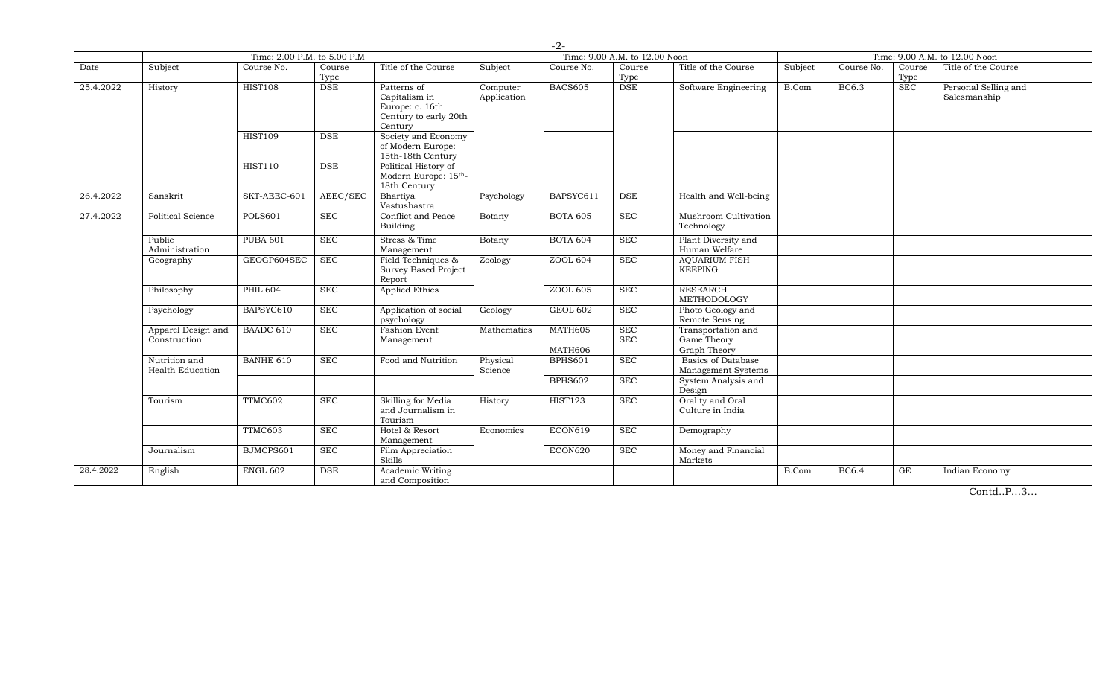|           |                                    | Time: 2.00 P.M. to 5.00 P.M |                |                                                                                     |                         |                           | Time: 9.00 A.M. to 12.00 Noon |                                                                        |         |              |                | Time: 9.00 A.M. to 12.00 Noon        |  |
|-----------|------------------------------------|-----------------------------|----------------|-------------------------------------------------------------------------------------|-------------------------|---------------------------|-------------------------------|------------------------------------------------------------------------|---------|--------------|----------------|--------------------------------------|--|
| Date      | Subject                            | Course No.                  | Course<br>Type | Title of the Course                                                                 | Subject                 | Course No.                | Course<br>Type                | Title of the Course                                                    | Subject | Course No.   | Course<br>Type | Title of the Course                  |  |
| 25.4.2022 | History                            | <b>HIST108</b>              | <b>DSE</b>     | Patterns of<br>Capitalism in<br>Europe: c. 16th<br>Century to early 20th<br>Century | Computer<br>Application | <b>BACS605</b>            | <b>DSE</b>                    | Software Engineering                                                   | B.Com   | <b>BC6.3</b> | <b>SEC</b>     | Personal Selling and<br>Salesmanship |  |
|           |                                    | <b>HIST109</b>              | <b>DSE</b>     | Society and Economy<br>of Modern Europe:<br>15th-18th Century                       |                         |                           |                               |                                                                        |         |              |                |                                      |  |
|           |                                    | <b>HIST110</b>              | <b>DSE</b>     | Political History of<br>Modern Europe: 15th-<br>18th Century                        |                         |                           |                               |                                                                        |         |              |                |                                      |  |
| 26.4.2022 | Sanskrit                           | SKT-AEEC-601                | AEEC/SEC       | Bhartiya<br>Vastushastra                                                            | Psychology              | BAPSYC611                 | <b>DSE</b>                    | Health and Well-being                                                  |         |              |                |                                      |  |
| 27.4.2022 | Political Science                  | <b>POLS601</b>              | <b>SEC</b>     | Conflict and Peace<br>Building                                                      | Botany                  | <b>BOTA 605</b>           | <b>SEC</b>                    | Mushroom Cultivation<br>Technology                                     |         |              |                |                                      |  |
|           | Public<br>Administration           | <b>PUBA 601</b>             | <b>SEC</b>     | Stress & Time<br>Management                                                         | Botany                  | <b>BOTA 604</b>           | <b>SEC</b>                    | Plant Diversity and<br>Human Welfare                                   |         |              |                |                                      |  |
|           | Geography                          | GEOGP604SEC                 | SEC            | Field Techniques &<br><b>Survey Based Project</b><br>Report                         | Zoology                 | ZOOL 604                  | <b>SEC</b>                    | <b>AQUARIUM FISH</b><br><b>KEEPING</b>                                 |         |              |                |                                      |  |
|           | Philosophy                         | <b>PHIL 604</b>             | <b>SEC</b>     | <b>Applied Ethics</b>                                                               |                         | ZOOL 605                  | <b>SEC</b>                    | <b>RESEARCH</b><br>METHODOLOGY                                         |         |              |                |                                      |  |
|           | Psychology                         | BAPSYC610                   | <b>SEC</b>     | Application of social<br>psychology                                                 | Geology                 | <b>GEOL 602</b>           | <b>SEC</b>                    | Photo Geology and<br>Remote Sensing                                    |         |              |                |                                      |  |
|           | Apparel Design and<br>Construction | BAADC 610                   | SEC            | Fashion Event<br>Management                                                         | Mathematics             | MATH605                   | <b>SEC</b><br><b>SEC</b>      | Transportation and<br>Game Theory                                      |         |              |                |                                      |  |
|           | Nutrition and<br>Health Education  | <b>BANHE 610</b>            | <b>SEC</b>     | Food and Nutrition                                                                  | Physical<br>Science     | MATH606<br><b>BPHS601</b> | <b>SEC</b>                    | <b>Graph Theory</b><br><b>Basics of Database</b><br>Management Systems |         |              |                |                                      |  |
|           |                                    |                             |                |                                                                                     |                         | <b>BPHS602</b>            | <b>SEC</b>                    | System Analysis and<br>Design                                          |         |              |                |                                      |  |
|           | Tourism                            | TTMC602                     | <b>SEC</b>     | Skilling for Media<br>and Journalism in<br>Tourism                                  | History                 | <b>HIST123</b>            | <b>SEC</b>                    | Orality and Oral<br>Culture in India                                   |         |              |                |                                      |  |
|           |                                    | TTMC603                     | <b>SEC</b>     | Hotel & Resort<br>Management                                                        | Economics               | ECON619                   | <b>SEC</b>                    | Demography                                                             |         |              |                |                                      |  |
|           | Journalism                         | BJMCPS601                   | <b>SEC</b>     | Film Appreciation<br>Skills                                                         |                         | ECON620                   | <b>SEC</b>                    | Money and Financial<br>Markets                                         |         |              |                |                                      |  |
| 28.4.2022 | English                            | <b>ENGL 602</b>             | <b>DSE</b>     | Academic Writing<br>and Composition                                                 |                         |                           |                               |                                                                        | B.Com   | <b>BC6.4</b> | GE             | Indian Economy                       |  |

Contd..P…3…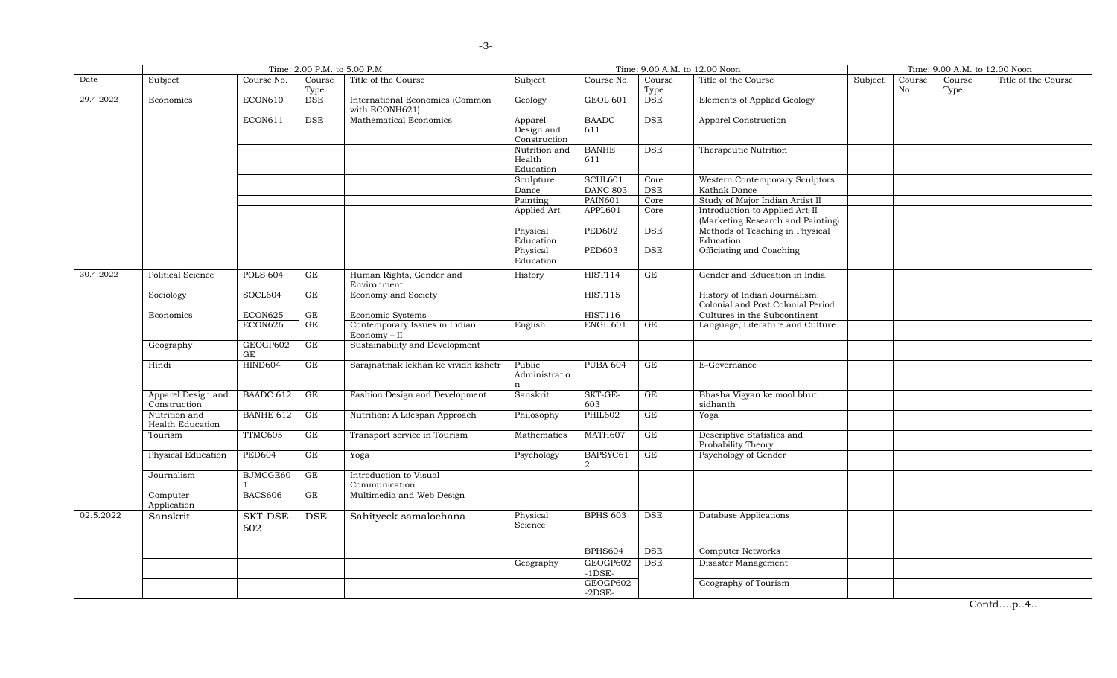|           | Time: 2.00 P.M. to 5.00 P.M        |                  |                      |                                                   |                                       | Time: 9.00 A.M. to 12.00 Noon | Time: 9.00 A.M. to 12.00 Noon |                                                                     |         |               |                |                     |
|-----------|------------------------------------|------------------|----------------------|---------------------------------------------------|---------------------------------------|-------------------------------|-------------------------------|---------------------------------------------------------------------|---------|---------------|----------------|---------------------|
| Date      | Subject                            | Course No.       | Course<br>Type       | Title of the Course                               | Subject                               | Course No.                    | Course<br>Type                | Title of the Course                                                 | Subject | Course<br>No. | Course<br>Type | Title of the Course |
| 29.4.2022 | Economics                          | <b>ECON610</b>   | <b>DSE</b>           | International Economics (Common<br>with ECONH621) | Geology                               | <b>GEOL 601</b>               | <b>DSE</b>                    | Elements of Applied Geology                                         |         |               |                |                     |
|           |                                    | ECON611          | <b>DSE</b>           | Mathematical Economics                            | Apparel<br>Design and<br>Construction | <b>BAADC</b><br>611           | <b>DSE</b>                    | Apparel Construction                                                |         |               |                |                     |
|           |                                    |                  |                      |                                                   | Nutrition and<br>Health<br>Education  | <b>BANHE</b><br>611           | <b>DSE</b>                    | Therapeutic Nutrition                                               |         |               |                |                     |
|           |                                    |                  |                      |                                                   | Sculpture                             | SCUL601                       | Core                          | Western Contemporary Sculptors                                      |         |               |                |                     |
|           |                                    |                  |                      |                                                   | Dance                                 | <b>DANC 803</b>               | <b>DSE</b>                    | Kathak Dance                                                        |         |               |                |                     |
|           |                                    |                  |                      |                                                   | Painting                              | <b>PAIN601</b>                | Core                          | Study of Major Indian Artist II                                     |         |               |                |                     |
|           |                                    |                  |                      |                                                   | Applied Art                           | APPL601                       | Core                          | Introduction to Applied Art-II<br>(Marketing Research and Painting) |         |               |                |                     |
|           |                                    |                  |                      |                                                   | Physical<br>Education                 | <b>PED602</b>                 | <b>DSE</b>                    | Methods of Teaching in Physical<br>Education                        |         |               |                |                     |
|           |                                    |                  |                      |                                                   | Physical<br>Education                 | <b>PED603</b>                 | DSE                           | Officiating and Coaching                                            |         |               |                |                     |
| 30.4.2022 | Political Science                  | <b>POLS 604</b>  | GE                   | Human Rights, Gender and<br>Environment           | History                               | <b>HIST114</b>                | GE                            | Gender and Education in India                                       |         |               |                |                     |
|           | Sociology                          | SOCL604          | GE                   | Economy and Society                               |                                       | <b>HIST115</b>                |                               | History of Indian Journalism:<br>Colonial and Post Colonial Period  |         |               |                |                     |
|           | Economics                          | ECON625          | GE                   | Economic Systems                                  |                                       | <b>HIST116</b>                |                               | Cultures in the Subcontinent                                        |         |               |                |                     |
|           |                                    | ECON626          | GE                   | Contemporary Issues in Indian<br>Economy - II     | English                               | <b>ENGL 601</b>               | GE                            | Language, Literature and Culture                                    |         |               |                |                     |
|           | Geography                          | GEOGP602<br>GE   | GE                   | Sustainability and Development                    |                                       |                               |                               |                                                                     |         |               |                |                     |
|           | Hindi                              | <b>HIND604</b>   | GE                   | Sarajnatmak lekhan ke vividh kshetr               | Public<br>Administratio               | <b>PUBA 604</b>               | GE                            | E-Governance                                                        |         |               |                |                     |
|           | Apparel Design and<br>Construction | BAADC 612        | GE                   | Fashion Design and Development                    | Sanskrit                              | SKT-GE-<br>603                | GE                            | Bhasha Vigyan ke mool bhut<br>sidhanth                              |         |               |                |                     |
|           | Nutrition and<br>Health Education  | <b>BANHE 612</b> | GE                   | Nutrition: A Lifespan Approach                    | Philosophy                            | <b>PHIL602</b>                | GE                            | Yoga                                                                |         |               |                |                     |
|           | Tourism                            | TTMC605          | GE                   | Transport service in Tourism                      | Mathematics                           | MATH607                       | GE                            | Descriptive Statistics and<br>Probability Theory                    |         |               |                |                     |
|           | Physical Education                 | <b>PED604</b>    | GE                   | Yoga                                              | Psychology                            | BAPSYC61<br>$\overline{2}$    | GE                            | Psychology of Gender                                                |         |               |                |                     |
|           | Journalism                         | BJMCGE60         | GE                   | Introduction to Visual<br>Communication           |                                       |                               |                               |                                                                     |         |               |                |                     |
|           | Computer<br>Application            | <b>BACS606</b>   | GE                   | Multimedia and Web Design                         |                                       |                               |                               |                                                                     |         |               |                |                     |
| 02.5.2022 | Sanskrit                           | SKT-DSE-<br>602  | $\operatorname{DSE}$ | Sahityeck samalochana                             | Physical<br>Science                   | <b>BPHS 603</b>               | <b>DSE</b>                    | Database Applications                                               |         |               |                |                     |
|           |                                    |                  |                      |                                                   |                                       | <b>BPHS604</b>                | <b>DSE</b>                    | <b>Computer Networks</b>                                            |         |               |                |                     |
|           |                                    |                  |                      |                                                   | Geography                             | GEOGP602<br>$-1$ DSE $-$      | <b>DSE</b>                    | Disaster Management                                                 |         |               |                |                     |
|           |                                    |                  |                      |                                                   |                                       | GEOGP602<br>$-2$ DSE $-$      |                               | Geography of Tourism                                                |         |               |                |                     |

Contd….p..4..